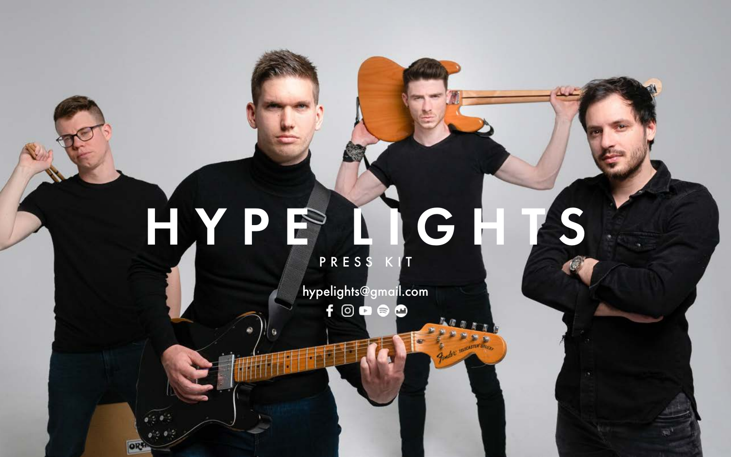## HYPP LIG

OR

PRESS KIT

hypelights@gmail.com $f$   $\odot$   $\odot$   $\odot$  $\bullet$ 

Reader Interestin between

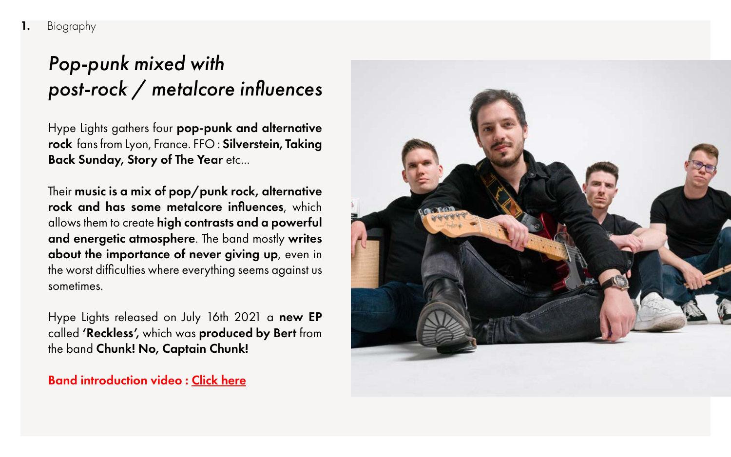Their music is a mix of pop/punk rock, alternative rock and has some metalcore influences, which allows them to create high contrasts and a powerful and energetic atmosphere. The band mostly writes about the importance of never giving up, even in the worst difficulties where everything seems against us sometimes.

Hype Lights released on July 16th 2021 a new EP called 'Reckless', which was produced by Bert from the band Chunk! No, Captain Chunk!

Band introduction video : [Click here](https://youtu.be/H8L4YWj7YGs)



## *Pop-punk mixed with post-rock / metalcore influences*

Hype Lights gathers four pop-punk and alternative rock fans from Lyon, France. FFO: Silverstein, Taking **Back Sunday, Story of The Year etc...**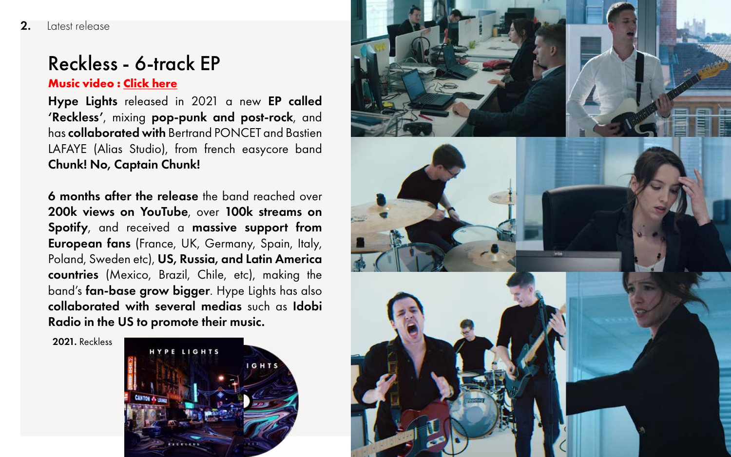## Reckless - 6-track EP

Hype Lights released in 2021 a new EP called 'Reckless', mixing pop-punk and post-rock, and has collaborated with Bertrand PONCET and Bastien LAFAYE (Alias Studio), from french easycore band Chunk! No, Captain Chunk!

6 months after the release the band reached over 200k views on YouTube, over 100k streams on Spotify, and received a massive support from European fans (France, UK, Germany, Spain, Italy, Poland, Sweden etc), US, Russia, and Latin America countries (Mexico, Brazil, Chile, etc), making the band's fan-base grow bigger. Hype Lights has also collaborated with several medias such as Idobi Radio in the US to promote their music.

2021. Reckless





## **Music video : [Click here](https://youtu.be/776JCDSQlUg)**